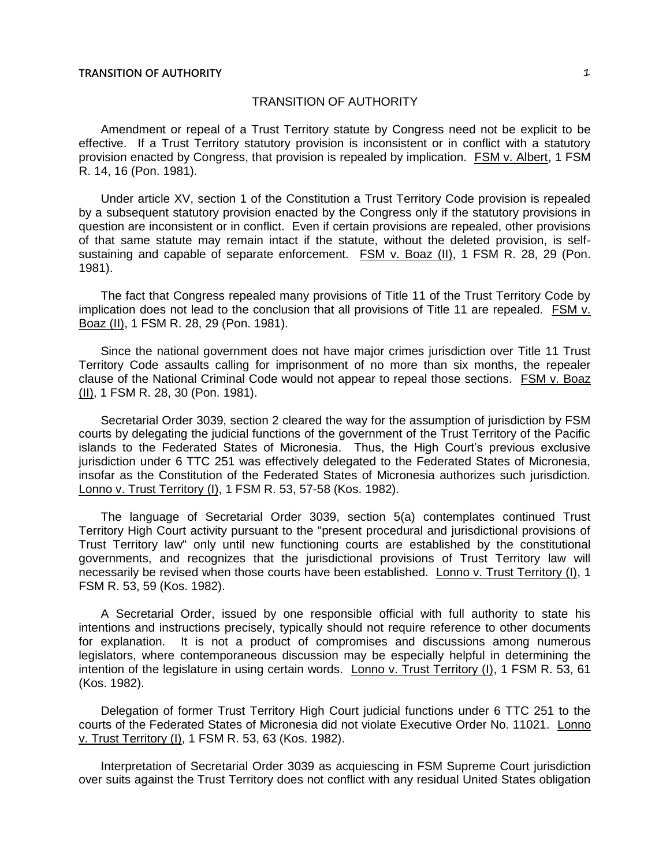Amendment or repeal of a Trust Territory statute by Congress need not be explicit to be effective. If a Trust Territory statutory provision is inconsistent or in conflict with a statutory provision enacted by Congress, that provision is repealed by implication. FSM v. Albert, 1 FSM R. 14, 16 (Pon. 1981).

Under article XV, section 1 of the Constitution a Trust Territory Code provision is repealed by a subsequent statutory provision enacted by the Congress only if the statutory provisions in question are inconsistent or in conflict. Even if certain provisions are repealed, other provisions of that same statute may remain intact if the statute, without the deleted provision, is selfsustaining and capable of separate enforcement. FSM v. Boaz (II), 1 FSM R. 28, 29 (Pon. 1981).

The fact that Congress repealed many provisions of Title 11 of the Trust Territory Code by implication does not lead to the conclusion that all provisions of Title 11 are repealed. FSM v. Boaz (II), 1 FSM R. 28, 29 (Pon. 1981).

Since the national government does not have major crimes jurisdiction over Title 11 Trust Territory Code assaults calling for imprisonment of no more than six months, the repealer clause of the National Criminal Code would not appear to repeal those sections. FSM v. Boaz (II), 1 FSM R. 28, 30 (Pon. 1981).

Secretarial Order 3039, section 2 cleared the way for the assumption of jurisdiction by FSM courts by delegating the judicial functions of the government of the Trust Territory of the Pacific islands to the Federated States of Micronesia. Thus, the High Court's previous exclusive jurisdiction under 6 TTC 251 was effectively delegated to the Federated States of Micronesia, insofar as the Constitution of the Federated States of Micronesia authorizes such jurisdiction. Lonno v. Trust Territory (I), 1 FSM R. 53, 57-58 (Kos. 1982).

The language of Secretarial Order 3039, section 5(a) contemplates continued Trust Territory High Court activity pursuant to the "present procedural and jurisdictional provisions of Trust Territory law" only until new functioning courts are established by the constitutional governments, and recognizes that the jurisdictional provisions of Trust Territory law will necessarily be revised when those courts have been established. Lonno v. Trust Territory (I), 1 FSM R. 53, 59 (Kos. 1982).

A Secretarial Order, issued by one responsible official with full authority to state his intentions and instructions precisely, typically should not require reference to other documents for explanation. It is not a product of compromises and discussions among numerous legislators, where contemporaneous discussion may be especially helpful in determining the intention of the legislature in using certain words. Lonno v. Trust Territory (I), 1 FSM R. 53, 61 (Kos. 1982).

Delegation of former Trust Territory High Court judicial functions under 6 TTC 251 to the courts of the Federated States of Micronesia did not violate Executive Order No. 11021. Lonno v. Trust Territory (I), 1 FSM R. 53, 63 (Kos. 1982).

Interpretation of Secretarial Order 3039 as acquiescing in FSM Supreme Court jurisdiction over suits against the Trust Territory does not conflict with any residual United States obligation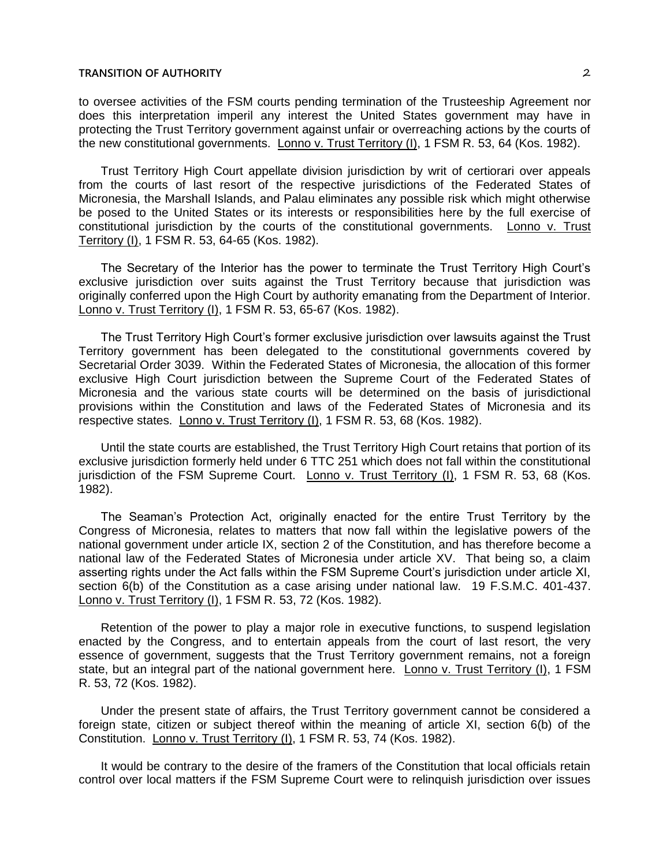to oversee activities of the FSM courts pending termination of the Trusteeship Agreement nor does this interpretation imperil any interest the United States government may have in protecting the Trust Territory government against unfair or overreaching actions by the courts of the new constitutional governments. Lonno v. Trust Territory (I), 1 FSM R. 53, 64 (Kos. 1982).

Trust Territory High Court appellate division jurisdiction by writ of certiorari over appeals from the courts of last resort of the respective jurisdictions of the Federated States of Micronesia, the Marshall Islands, and Palau eliminates any possible risk which might otherwise be posed to the United States or its interests or responsibilities here by the full exercise of constitutional jurisdiction by the courts of the constitutional governments. Lonno v. Trust Territory (I), 1 FSM R. 53, 64-65 (Kos. 1982).

The Secretary of the Interior has the power to terminate the Trust Territory High Court's exclusive jurisdiction over suits against the Trust Territory because that jurisdiction was originally conferred upon the High Court by authority emanating from the Department of Interior. Lonno v. Trust Territory (I), 1 FSM R. 53, 65-67 (Kos. 1982).

The Trust Territory High Court's former exclusive jurisdiction over lawsuits against the Trust Territory government has been delegated to the constitutional governments covered by Secretarial Order 3039. Within the Federated States of Micronesia, the allocation of this former exclusive High Court jurisdiction between the Supreme Court of the Federated States of Micronesia and the various state courts will be determined on the basis of jurisdictional provisions within the Constitution and laws of the Federated States of Micronesia and its respective states. Lonno v. Trust Territory (I), 1 FSM R. 53, 68 (Kos. 1982).

Until the state courts are established, the Trust Territory High Court retains that portion of its exclusive jurisdiction formerly held under 6 TTC 251 which does not fall within the constitutional jurisdiction of the FSM Supreme Court. Lonno v. Trust Territory (I), 1 FSM R. 53, 68 (Kos. 1982).

The Seaman's Protection Act, originally enacted for the entire Trust Territory by the Congress of Micronesia, relates to matters that now fall within the legislative powers of the national government under article IX, section 2 of the Constitution, and has therefore become a national law of the Federated States of Micronesia under article XV. That being so, a claim asserting rights under the Act falls within the FSM Supreme Court's jurisdiction under article XI, section 6(b) of the Constitution as a case arising under national law. 19 F.S.M.C. 401-437. Lonno v. Trust Territory (I), 1 FSM R. 53, 72 (Kos. 1982).

Retention of the power to play a major role in executive functions, to suspend legislation enacted by the Congress, and to entertain appeals from the court of last resort, the very essence of government, suggests that the Trust Territory government remains, not a foreign state, but an integral part of the national government here. Lonno v. Trust Territory (I), 1 FSM R. 53, 72 (Kos. 1982).

Under the present state of affairs, the Trust Territory government cannot be considered a foreign state, citizen or subject thereof within the meaning of article XI, section 6(b) of the Constitution. Lonno v. Trust Territory (I), 1 FSM R. 53, 74 (Kos. 1982).

It would be contrary to the desire of the framers of the Constitution that local officials retain control over local matters if the FSM Supreme Court were to relinquish jurisdiction over issues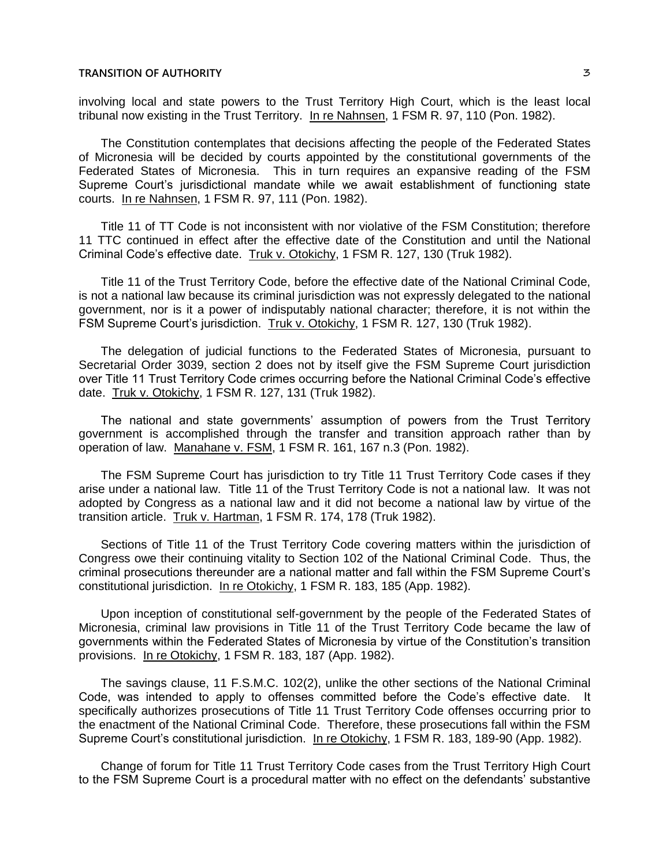involving local and state powers to the Trust Territory High Court, which is the least local tribunal now existing in the Trust Territory. In re Nahnsen, 1 FSM R. 97, 110 (Pon. 1982).

The Constitution contemplates that decisions affecting the people of the Federated States of Micronesia will be decided by courts appointed by the constitutional governments of the Federated States of Micronesia. This in turn requires an expansive reading of the FSM Supreme Court's jurisdictional mandate while we await establishment of functioning state courts. In re Nahnsen, 1 FSM R. 97, 111 (Pon. 1982).

Title 11 of TT Code is not inconsistent with nor violative of the FSM Constitution; therefore 11 TTC continued in effect after the effective date of the Constitution and until the National Criminal Code's effective date. Truk v. Otokichy, 1 FSM R. 127, 130 (Truk 1982).

Title 11 of the Trust Territory Code, before the effective date of the National Criminal Code, is not a national law because its criminal jurisdiction was not expressly delegated to the national government, nor is it a power of indisputably national character; therefore, it is not within the FSM Supreme Court's jurisdiction. Truk v. Otokichy, 1 FSM R. 127, 130 (Truk 1982).

The delegation of judicial functions to the Federated States of Micronesia, pursuant to Secretarial Order 3039, section 2 does not by itself give the FSM Supreme Court jurisdiction over Title 11 Trust Territory Code crimes occurring before the National Criminal Code's effective date. Truk v. Otokichy, 1 FSM R. 127, 131 (Truk 1982).

The national and state governments' assumption of powers from the Trust Territory government is accomplished through the transfer and transition approach rather than by operation of law. Manahane v. FSM, 1 FSM R. 161, 167 n.3 (Pon. 1982).

The FSM Supreme Court has jurisdiction to try Title 11 Trust Territory Code cases if they arise under a national law. Title 11 of the Trust Territory Code is not a national law. It was not adopted by Congress as a national law and it did not become a national law by virtue of the transition article. Truk v. Hartman, 1 FSM R. 174, 178 (Truk 1982).

Sections of Title 11 of the Trust Territory Code covering matters within the jurisdiction of Congress owe their continuing vitality to Section 102 of the National Criminal Code. Thus, the criminal prosecutions thereunder are a national matter and fall within the FSM Supreme Court's constitutional jurisdiction. In re Otokichy, 1 FSM R. 183, 185 (App. 1982).

Upon inception of constitutional self-government by the people of the Federated States of Micronesia, criminal law provisions in Title 11 of the Trust Territory Code became the law of governments within the Federated States of Micronesia by virtue of the Constitution's transition provisions. In re Otokichy, 1 FSM R. 183, 187 (App. 1982).

The savings clause, 11 F.S.M.C. 102(2), unlike the other sections of the National Criminal Code, was intended to apply to offenses committed before the Code's effective date. It specifically authorizes prosecutions of Title 11 Trust Territory Code offenses occurring prior to the enactment of the National Criminal Code. Therefore, these prosecutions fall within the FSM Supreme Court's constitutional jurisdiction. In re Otokichy, 1 FSM R. 183, 189-90 (App. 1982).

Change of forum for Title 11 Trust Territory Code cases from the Trust Territory High Court to the FSM Supreme Court is a procedural matter with no effect on the defendants' substantive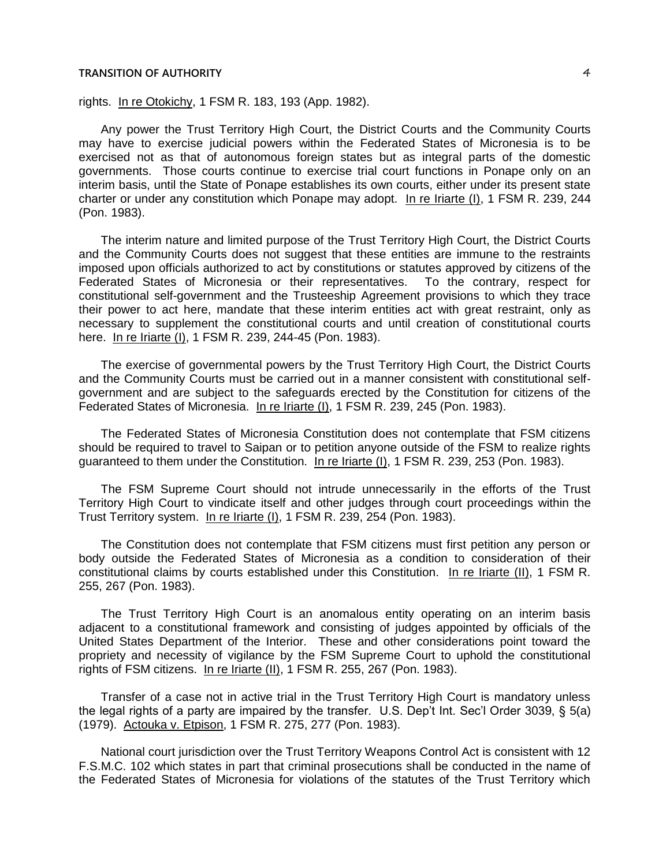rights. In re Otokichy, 1 FSM R. 183, 193 (App. 1982).

Any power the Trust Territory High Court, the District Courts and the Community Courts may have to exercise judicial powers within the Federated States of Micronesia is to be exercised not as that of autonomous foreign states but as integral parts of the domestic governments. Those courts continue to exercise trial court functions in Ponape only on an interim basis, until the State of Ponape establishes its own courts, either under its present state charter or under any constitution which Ponape may adopt. In re Iriarte (I), 1 FSM R. 239, 244 (Pon. 1983).

The interim nature and limited purpose of the Trust Territory High Court, the District Courts and the Community Courts does not suggest that these entities are immune to the restraints imposed upon officials authorized to act by constitutions or statutes approved by citizens of the Federated States of Micronesia or their representatives. To the contrary, respect for constitutional self-government and the Trusteeship Agreement provisions to which they trace their power to act here, mandate that these interim entities act with great restraint, only as necessary to supplement the constitutional courts and until creation of constitutional courts here. In re Iriarte (I), 1 FSM R. 239, 244-45 (Pon. 1983).

The exercise of governmental powers by the Trust Territory High Court, the District Courts and the Community Courts must be carried out in a manner consistent with constitutional selfgovernment and are subject to the safeguards erected by the Constitution for citizens of the Federated States of Micronesia. In re Iriarte (I), 1 FSM R. 239, 245 (Pon. 1983).

The Federated States of Micronesia Constitution does not contemplate that FSM citizens should be required to travel to Saipan or to petition anyone outside of the FSM to realize rights guaranteed to them under the Constitution. In re Iriarte (I), 1 FSM R. 239, 253 (Pon. 1983).

The FSM Supreme Court should not intrude unnecessarily in the efforts of the Trust Territory High Court to vindicate itself and other judges through court proceedings within the Trust Territory system. In re Iriarte (I), 1 FSM R. 239, 254 (Pon. 1983).

The Constitution does not contemplate that FSM citizens must first petition any person or body outside the Federated States of Micronesia as a condition to consideration of their constitutional claims by courts established under this Constitution. In re Iriarte (II), 1 FSM R. 255, 267 (Pon. 1983).

The Trust Territory High Court is an anomalous entity operating on an interim basis adjacent to a constitutional framework and consisting of judges appointed by officials of the United States Department of the Interior. These and other considerations point toward the propriety and necessity of vigilance by the FSM Supreme Court to uphold the constitutional rights of FSM citizens. In re Iriarte (II), 1 FSM R. 255, 267 (Pon. 1983).

Transfer of a case not in active trial in the Trust Territory High Court is mandatory unless the legal rights of a party are impaired by the transfer. U.S. Dep't Int. Sec'l Order 3039, § 5(a) (1979). Actouka v. Etpison, 1 FSM R. 275, 277 (Pon. 1983).

National court jurisdiction over the Trust Territory Weapons Control Act is consistent with 12 F.S.M.C. 102 which states in part that criminal prosecutions shall be conducted in the name of the Federated States of Micronesia for violations of the statutes of the Trust Territory which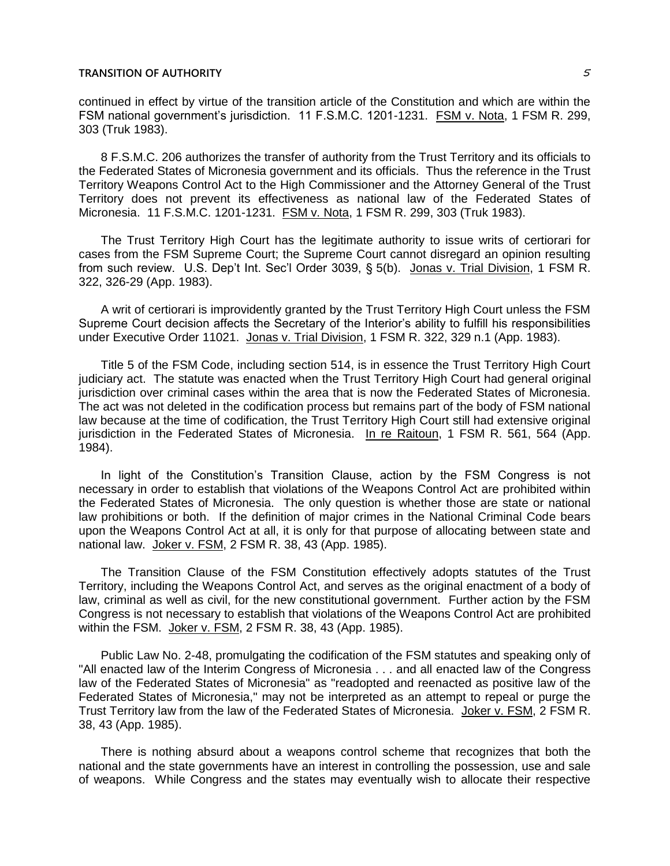continued in effect by virtue of the transition article of the Constitution and which are within the FSM national government's jurisdiction. 11 F.S.M.C. 1201-1231. FSM v. Nota, 1 FSM R. 299, 303 (Truk 1983).

8 F.S.M.C. 206 authorizes the transfer of authority from the Trust Territory and its officials to the Federated States of Micronesia government and its officials. Thus the reference in the Trust Territory Weapons Control Act to the High Commissioner and the Attorney General of the Trust Territory does not prevent its effectiveness as national law of the Federated States of Micronesia. 11 F.S.M.C. 1201-1231. FSM v. Nota, 1 FSM R. 299, 303 (Truk 1983).

The Trust Territory High Court has the legitimate authority to issue writs of certiorari for cases from the FSM Supreme Court; the Supreme Court cannot disregard an opinion resulting from such review. U.S. Dep't Int. Sec'l Order 3039, § 5(b). Jonas v. Trial Division, 1 FSM R. 322, 326-29 (App. 1983).

A writ of certiorari is improvidently granted by the Trust Territory High Court unless the FSM Supreme Court decision affects the Secretary of the Interior's ability to fulfill his responsibilities under Executive Order 11021. Jonas v. Trial Division, 1 FSM R. 322, 329 n.1 (App. 1983).

Title 5 of the FSM Code, including section 514, is in essence the Trust Territory High Court judiciary act. The statute was enacted when the Trust Territory High Court had general original jurisdiction over criminal cases within the area that is now the Federated States of Micronesia. The act was not deleted in the codification process but remains part of the body of FSM national law because at the time of codification, the Trust Territory High Court still had extensive original jurisdiction in the Federated States of Micronesia. In re Raitoun, 1 FSM R. 561, 564 (App. 1984).

In light of the Constitution's Transition Clause, action by the FSM Congress is not necessary in order to establish that violations of the Weapons Control Act are prohibited within the Federated States of Micronesia. The only question is whether those are state or national law prohibitions or both. If the definition of major crimes in the National Criminal Code bears upon the Weapons Control Act at all, it is only for that purpose of allocating between state and national law. Joker v. FSM, 2 FSM R. 38, 43 (App. 1985).

The Transition Clause of the FSM Constitution effectively adopts statutes of the Trust Territory, including the Weapons Control Act, and serves as the original enactment of a body of law, criminal as well as civil, for the new constitutional government. Further action by the FSM Congress is not necessary to establish that violations of the Weapons Control Act are prohibited within the FSM. Joker v. FSM, 2 FSM R. 38, 43 (App. 1985).

Public Law No. 2-48, promulgating the codification of the FSM statutes and speaking only of "All enacted law of the Interim Congress of Micronesia . . . and all enacted law of the Congress law of the Federated States of Micronesia" as "readopted and reenacted as positive law of the Federated States of Micronesia," may not be interpreted as an attempt to repeal or purge the Trust Territory law from the law of the Federated States of Micronesia. Joker v. FSM, 2 FSM R. 38, 43 (App. 1985).

There is nothing absurd about a weapons control scheme that recognizes that both the national and the state governments have an interest in controlling the possession, use and sale of weapons. While Congress and the states may eventually wish to allocate their respective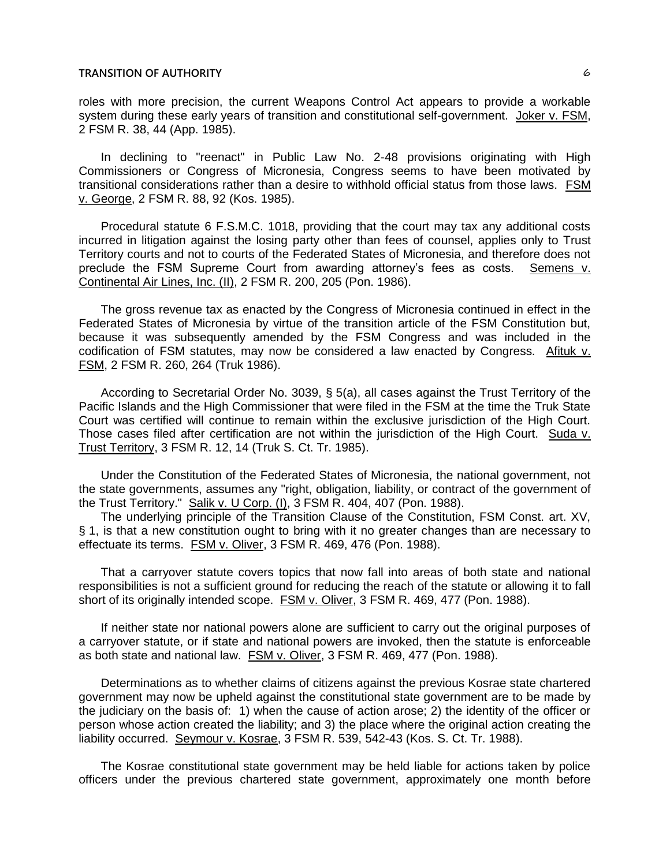roles with more precision, the current Weapons Control Act appears to provide a workable system during these early years of transition and constitutional self-government. Joker v. FSM, 2 FSM R. 38, 44 (App. 1985).

In declining to "reenact" in Public Law No. 2-48 provisions originating with High Commissioners or Congress of Micronesia, Congress seems to have been motivated by transitional considerations rather than a desire to withhold official status from those laws. FSM v. George, 2 FSM R. 88, 92 (Kos. 1985).

Procedural statute 6 F.S.M.C. 1018, providing that the court may tax any additional costs incurred in litigation against the losing party other than fees of counsel, applies only to Trust Territory courts and not to courts of the Federated States of Micronesia, and therefore does not preclude the FSM Supreme Court from awarding attorney's fees as costs. Semens v. Continental Air Lines, Inc. (II), 2 FSM R. 200, 205 (Pon. 1986).

The gross revenue tax as enacted by the Congress of Micronesia continued in effect in the Federated States of Micronesia by virtue of the transition article of the FSM Constitution but, because it was subsequently amended by the FSM Congress and was included in the codification of FSM statutes, may now be considered a law enacted by Congress. Afituk v. FSM, 2 FSM R. 260, 264 (Truk 1986).

According to Secretarial Order No. 3039, § 5(a), all cases against the Trust Territory of the Pacific Islands and the High Commissioner that were filed in the FSM at the time the Truk State Court was certified will continue to remain within the exclusive jurisdiction of the High Court. Those cases filed after certification are not within the jurisdiction of the High Court. Suda v. Trust Territory, 3 FSM R. 12, 14 (Truk S. Ct. Tr. 1985).

Under the Constitution of the Federated States of Micronesia, the national government, not the state governments, assumes any "right, obligation, liability, or contract of the government of the Trust Territory." Salik v. U Corp. (I), 3 FSM R. 404, 407 (Pon. 1988).

The underlying principle of the Transition Clause of the Constitution, FSM Const. art. XV, § 1, is that a new constitution ought to bring with it no greater changes than are necessary to effectuate its terms. FSM v. Oliver, 3 FSM R. 469, 476 (Pon. 1988).

That a carryover statute covers topics that now fall into areas of both state and national responsibilities is not a sufficient ground for reducing the reach of the statute or allowing it to fall short of its originally intended scope. FSM v. Oliver, 3 FSM R. 469, 477 (Pon. 1988).

If neither state nor national powers alone are sufficient to carry out the original purposes of a carryover statute, or if state and national powers are invoked, then the statute is enforceable as both state and national law. FSM v. Oliver, 3 FSM R. 469, 477 (Pon. 1988).

Determinations as to whether claims of citizens against the previous Kosrae state chartered government may now be upheld against the constitutional state government are to be made by the judiciary on the basis of: 1) when the cause of action arose; 2) the identity of the officer or person whose action created the liability; and 3) the place where the original action creating the liability occurred. Seymour v. Kosrae, 3 FSM R. 539, 542-43 (Kos. S. Ct. Tr. 1988).

The Kosrae constitutional state government may be held liable for actions taken by police officers under the previous chartered state government, approximately one month before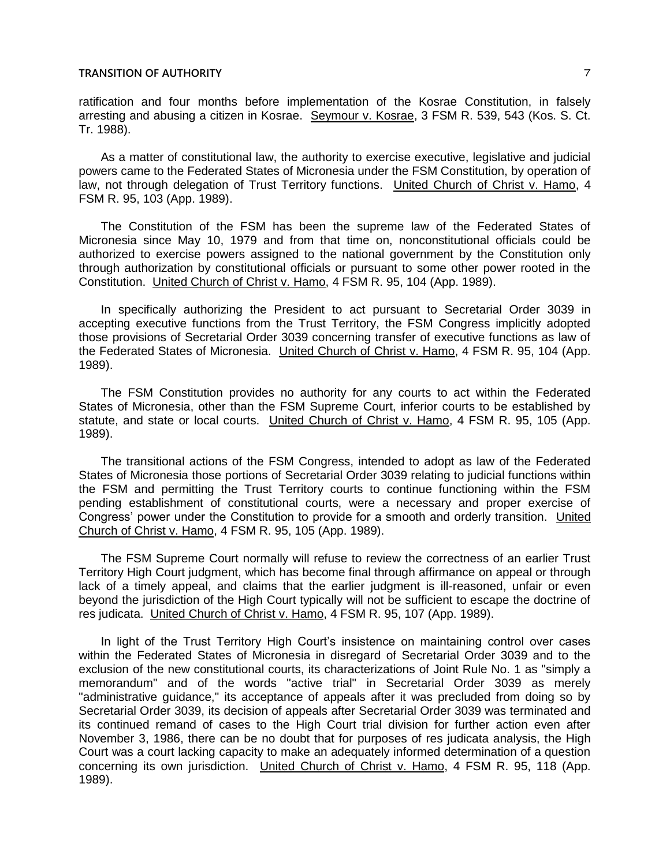ratification and four months before implementation of the Kosrae Constitution, in falsely arresting and abusing a citizen in Kosrae. Seymour v. Kosrae, 3 FSM R. 539, 543 (Kos. S. Ct. Tr. 1988).

As a matter of constitutional law, the authority to exercise executive, legislative and judicial powers came to the Federated States of Micronesia under the FSM Constitution, by operation of law, not through delegation of Trust Territory functions. United Church of Christ v. Hamo, 4 FSM R. 95, 103 (App. 1989).

The Constitution of the FSM has been the supreme law of the Federated States of Micronesia since May 10, 1979 and from that time on, nonconstitutional officials could be authorized to exercise powers assigned to the national government by the Constitution only through authorization by constitutional officials or pursuant to some other power rooted in the Constitution. United Church of Christ v. Hamo, 4 FSM R. 95, 104 (App. 1989).

In specifically authorizing the President to act pursuant to Secretarial Order 3039 in accepting executive functions from the Trust Territory, the FSM Congress implicitly adopted those provisions of Secretarial Order 3039 concerning transfer of executive functions as law of the Federated States of Micronesia. United Church of Christ v. Hamo, 4 FSM R. 95, 104 (App. 1989).

The FSM Constitution provides no authority for any courts to act within the Federated States of Micronesia, other than the FSM Supreme Court, inferior courts to be established by statute, and state or local courts. United Church of Christ v. Hamo, 4 FSM R. 95, 105 (App. 1989).

The transitional actions of the FSM Congress, intended to adopt as law of the Federated States of Micronesia those portions of Secretarial Order 3039 relating to judicial functions within the FSM and permitting the Trust Territory courts to continue functioning within the FSM pending establishment of constitutional courts, were a necessary and proper exercise of Congress' power under the Constitution to provide for a smooth and orderly transition. United Church of Christ v. Hamo, 4 FSM R. 95, 105 (App. 1989).

The FSM Supreme Court normally will refuse to review the correctness of an earlier Trust Territory High Court judgment, which has become final through affirmance on appeal or through lack of a timely appeal, and claims that the earlier judgment is ill-reasoned, unfair or even beyond the jurisdiction of the High Court typically will not be sufficient to escape the doctrine of res judicata. United Church of Christ v. Hamo, 4 FSM R. 95, 107 (App. 1989).

In light of the Trust Territory High Court's insistence on maintaining control over cases within the Federated States of Micronesia in disregard of Secretarial Order 3039 and to the exclusion of the new constitutional courts, its characterizations of Joint Rule No. 1 as "simply a memorandum" and of the words "active trial" in Secretarial Order 3039 as merely "administrative guidance," its acceptance of appeals after it was precluded from doing so by Secretarial Order 3039, its decision of appeals after Secretarial Order 3039 was terminated and its continued remand of cases to the High Court trial division for further action even after November 3, 1986, there can be no doubt that for purposes of res judicata analysis, the High Court was a court lacking capacity to make an adequately informed determination of a question concerning its own jurisdiction. United Church of Christ v. Hamo, 4 FSM R. 95, 118 (App. 1989).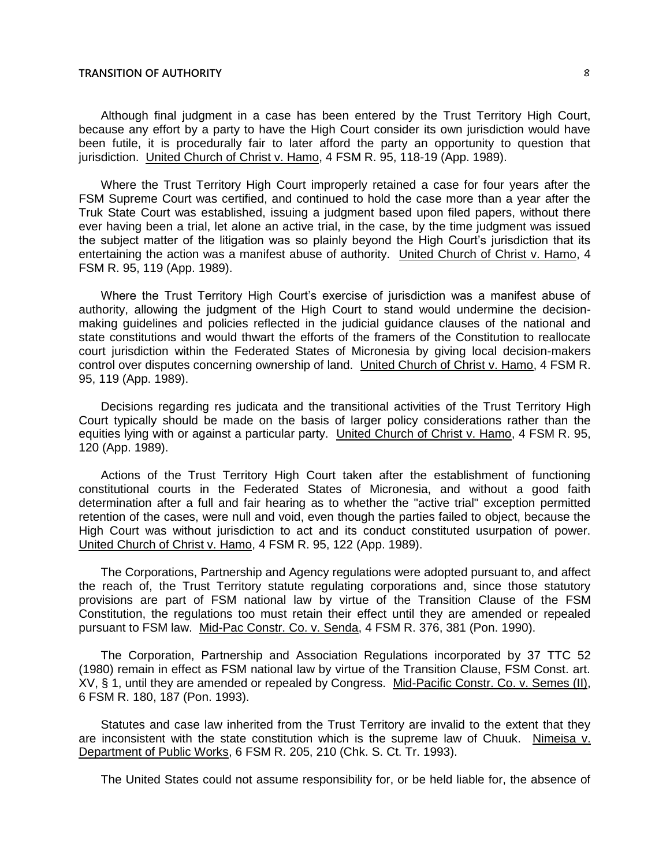Although final judgment in a case has been entered by the Trust Territory High Court, because any effort by a party to have the High Court consider its own jurisdiction would have been futile, it is procedurally fair to later afford the party an opportunity to question that jurisdiction. United Church of Christ v. Hamo, 4 FSM R. 95, 118-19 (App. 1989).

Where the Trust Territory High Court improperly retained a case for four years after the FSM Supreme Court was certified, and continued to hold the case more than a year after the Truk State Court was established, issuing a judgment based upon filed papers, without there ever having been a trial, let alone an active trial, in the case, by the time judgment was issued the subject matter of the litigation was so plainly beyond the High Court's jurisdiction that its entertaining the action was a manifest abuse of authority. United Church of Christ v. Hamo, 4 FSM R. 95, 119 (App. 1989).

Where the Trust Territory High Court's exercise of jurisdiction was a manifest abuse of authority, allowing the judgment of the High Court to stand would undermine the decisionmaking guidelines and policies reflected in the judicial guidance clauses of the national and state constitutions and would thwart the efforts of the framers of the Constitution to reallocate court jurisdiction within the Federated States of Micronesia by giving local decision-makers control over disputes concerning ownership of land. United Church of Christ v. Hamo, 4 FSM R. 95, 119 (App. 1989).

Decisions regarding res judicata and the transitional activities of the Trust Territory High Court typically should be made on the basis of larger policy considerations rather than the equities lying with or against a particular party. United Church of Christ v. Hamo, 4 FSM R. 95, 120 (App. 1989).

Actions of the Trust Territory High Court taken after the establishment of functioning constitutional courts in the Federated States of Micronesia, and without a good faith determination after a full and fair hearing as to whether the "active trial" exception permitted retention of the cases, were null and void, even though the parties failed to object, because the High Court was without jurisdiction to act and its conduct constituted usurpation of power. United Church of Christ v. Hamo, 4 FSM R. 95, 122 (App. 1989).

The Corporations, Partnership and Agency regulations were adopted pursuant to, and affect the reach of, the Trust Territory statute regulating corporations and, since those statutory provisions are part of FSM national law by virtue of the Transition Clause of the FSM Constitution, the regulations too must retain their effect until they are amended or repealed pursuant to FSM law. Mid-Pac Constr. Co. v. Senda, 4 FSM R. 376, 381 (Pon. 1990).

The Corporation, Partnership and Association Regulations incorporated by 37 TTC 52 (1980) remain in effect as FSM national law by virtue of the Transition Clause, FSM Const. art. XV, § 1, until they are amended or repealed by Congress. Mid-Pacific Constr. Co. v. Semes (II), 6 FSM R. 180, 187 (Pon. 1993).

Statutes and case law inherited from the Trust Territory are invalid to the extent that they are inconsistent with the state constitution which is the supreme law of Chuuk. Nimeisa v. Department of Public Works, 6 FSM R. 205, 210 (Chk. S. Ct. Tr. 1993).

The United States could not assume responsibility for, or be held liable for, the absence of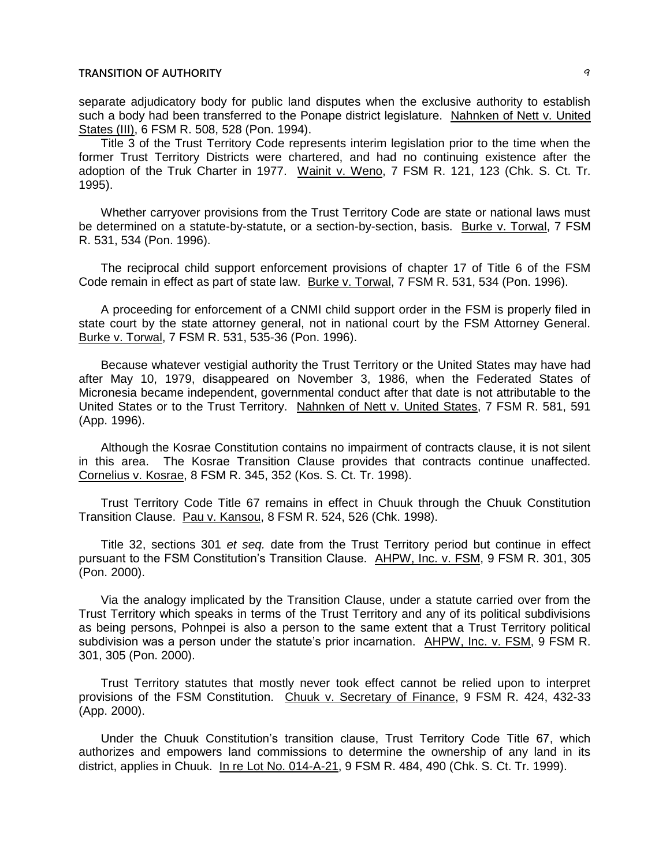separate adjudicatory body for public land disputes when the exclusive authority to establish such a body had been transferred to the Ponape district legislature. Nahnken of Nett v. United States (III), 6 FSM R. 508, 528 (Pon. 1994).

Title 3 of the Trust Territory Code represents interim legislation prior to the time when the former Trust Territory Districts were chartered, and had no continuing existence after the adoption of the Truk Charter in 1977. Wainit v. Weno, 7 FSM R. 121, 123 (Chk. S. Ct. Tr. 1995).

Whether carryover provisions from the Trust Territory Code are state or national laws must be determined on a statute-by-statute, or a section-by-section, basis. Burke v. Torwal, 7 FSM R. 531, 534 (Pon. 1996).

The reciprocal child support enforcement provisions of chapter 17 of Title 6 of the FSM Code remain in effect as part of state law. Burke v. Torwal, 7 FSM R. 531, 534 (Pon. 1996).

A proceeding for enforcement of a CNMI child support order in the FSM is properly filed in state court by the state attorney general, not in national court by the FSM Attorney General. Burke v. Torwal, 7 FSM R. 531, 535-36 (Pon. 1996).

Because whatever vestigial authority the Trust Territory or the United States may have had after May 10, 1979, disappeared on November 3, 1986, when the Federated States of Micronesia became independent, governmental conduct after that date is not attributable to the United States or to the Trust Territory. Nahnken of Nett v. United States, 7 FSM R. 581, 591 (App. 1996).

Although the Kosrae Constitution contains no impairment of contracts clause, it is not silent in this area. The Kosrae Transition Clause provides that contracts continue unaffected. Cornelius v. Kosrae, 8 FSM R. 345, 352 (Kos. S. Ct. Tr. 1998).

Trust Territory Code Title 67 remains in effect in Chuuk through the Chuuk Constitution Transition Clause. Pau v. Kansou, 8 FSM R. 524, 526 (Chk. 1998).

Title 32, sections 301 *et seq.* date from the Trust Territory period but continue in effect pursuant to the FSM Constitution's Transition Clause. AHPW, Inc. v. FSM, 9 FSM R. 301, 305 (Pon. 2000).

Via the analogy implicated by the Transition Clause, under a statute carried over from the Trust Territory which speaks in terms of the Trust Territory and any of its political subdivisions as being persons, Pohnpei is also a person to the same extent that a Trust Territory political subdivision was a person under the statute's prior incarnation. AHPW, Inc. v. FSM, 9 FSM R. 301, 305 (Pon. 2000).

Trust Territory statutes that mostly never took effect cannot be relied upon to interpret provisions of the FSM Constitution. Chuuk v. Secretary of Finance, 9 FSM R. 424, 432-33 (App. 2000).

Under the Chuuk Constitution's transition clause, Trust Territory Code Title 67, which authorizes and empowers land commissions to determine the ownership of any land in its district, applies in Chuuk. In re Lot No. 014-A-21, 9 FSM R. 484, 490 (Chk. S. Ct. Tr. 1999).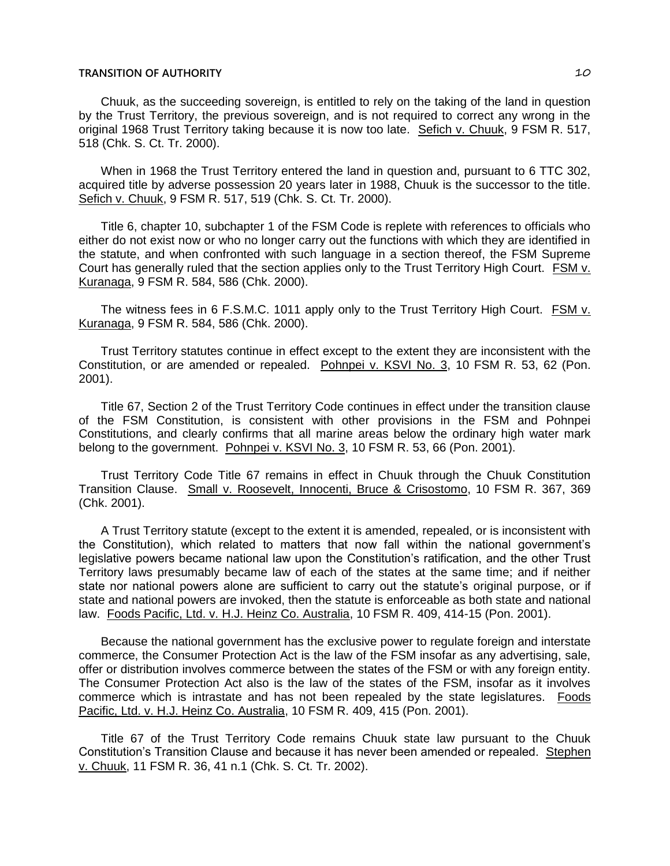Chuuk, as the succeeding sovereign, is entitled to rely on the taking of the land in question by the Trust Territory, the previous sovereign, and is not required to correct any wrong in the original 1968 Trust Territory taking because it is now too late. Sefich v. Chuuk, 9 FSM R. 517, 518 (Chk. S. Ct. Tr. 2000).

When in 1968 the Trust Territory entered the land in question and, pursuant to 6 TTC 302, acquired title by adverse possession 20 years later in 1988, Chuuk is the successor to the title. Sefich v. Chuuk, 9 FSM R. 517, 519 (Chk. S. Ct. Tr. 2000).

Title 6, chapter 10, subchapter 1 of the FSM Code is replete with references to officials who either do not exist now or who no longer carry out the functions with which they are identified in the statute, and when confronted with such language in a section thereof, the FSM Supreme Court has generally ruled that the section applies only to the Trust Territory High Court. FSM v. Kuranaga, 9 FSM R. 584, 586 (Chk. 2000).

The witness fees in 6 F.S.M.C. 1011 apply only to the Trust Territory High Court. FSM v. Kuranaga, 9 FSM R. 584, 586 (Chk. 2000).

Trust Territory statutes continue in effect except to the extent they are inconsistent with the Constitution, or are amended or repealed. Pohnpei v. KSVI No. 3, 10 FSM R. 53, 62 (Pon. 2001).

Title 67, Section 2 of the Trust Territory Code continues in effect under the transition clause of the FSM Constitution, is consistent with other provisions in the FSM and Pohnpei Constitutions, and clearly confirms that all marine areas below the ordinary high water mark belong to the government. Pohnpei v. KSVI No. 3, 10 FSM R. 53, 66 (Pon. 2001).

Trust Territory Code Title 67 remains in effect in Chuuk through the Chuuk Constitution Transition Clause. Small v. Roosevelt, Innocenti, Bruce & Crisostomo, 10 FSM R. 367, 369 (Chk. 2001).

A Trust Territory statute (except to the extent it is amended, repealed, or is inconsistent with the Constitution), which related to matters that now fall within the national government's legislative powers became national law upon the Constitution's ratification, and the other Trust Territory laws presumably became law of each of the states at the same time; and if neither state nor national powers alone are sufficient to carry out the statute's original purpose, or if state and national powers are invoked, then the statute is enforceable as both state and national law. Foods Pacific, Ltd. v. H.J. Heinz Co. Australia, 10 FSM R. 409, 414-15 (Pon. 2001).

Because the national government has the exclusive power to regulate foreign and interstate commerce, the Consumer Protection Act is the law of the FSM insofar as any advertising, sale, offer or distribution involves commerce between the states of the FSM or with any foreign entity. The Consumer Protection Act also is the law of the states of the FSM, insofar as it involves commerce which is intrastate and has not been repealed by the state legislatures. Foods Pacific, Ltd. v. H.J. Heinz Co. Australia, 10 FSM R. 409, 415 (Pon. 2001).

Title 67 of the Trust Territory Code remains Chuuk state law pursuant to the Chuuk Constitution's Transition Clause and because it has never been amended or repealed. Stephen v. Chuuk, 11 FSM R. 36, 41 n.1 (Chk. S. Ct. Tr. 2002).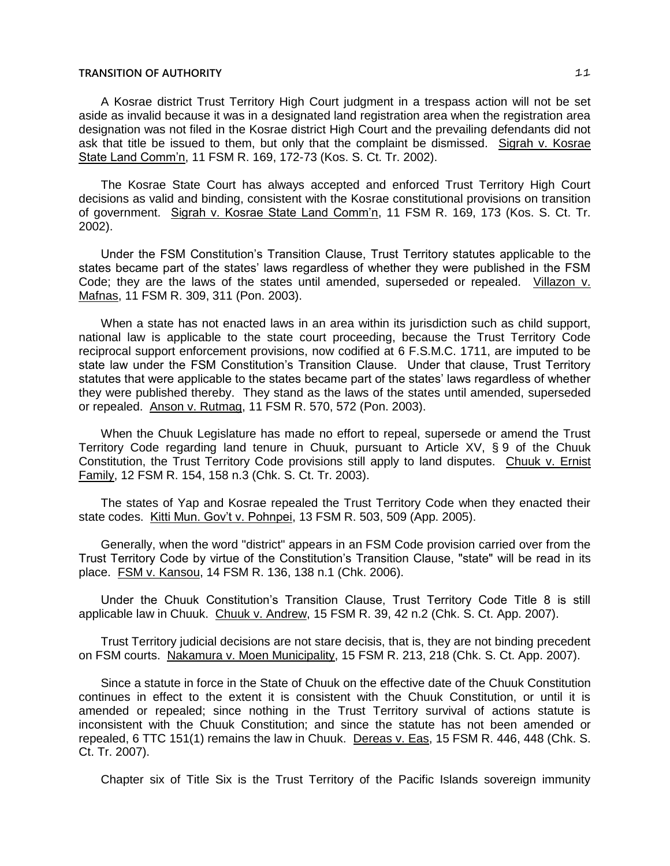A Kosrae district Trust Territory High Court judgment in a trespass action will not be set aside as invalid because it was in a designated land registration area when the registration area designation was not filed in the Kosrae district High Court and the prevailing defendants did not ask that title be issued to them, but only that the complaint be dismissed. Sigrah v. Kosrae State Land Comm'n, 11 FSM R. 169, 172-73 (Kos. S. Ct. Tr. 2002).

The Kosrae State Court has always accepted and enforced Trust Territory High Court decisions as valid and binding, consistent with the Kosrae constitutional provisions on transition of government. Sigrah v. Kosrae State Land Comm'n, 11 FSM R. 169, 173 (Kos. S. Ct. Tr. 2002).

Under the FSM Constitution's Transition Clause, Trust Territory statutes applicable to the states became part of the states' laws regardless of whether they were published in the FSM Code; they are the laws of the states until amended, superseded or repealed. Villazon v. Mafnas, 11 FSM R. 309, 311 (Pon. 2003).

When a state has not enacted laws in an area within its jurisdiction such as child support, national law is applicable to the state court proceeding, because the Trust Territory Code reciprocal support enforcement provisions, now codified at 6 F.S.M.C. 1711, are imputed to be state law under the FSM Constitution's Transition Clause. Under that clause, Trust Territory statutes that were applicable to the states became part of the states' laws regardless of whether they were published thereby. They stand as the laws of the states until amended, superseded or repealed. Anson v. Rutmag, 11 FSM R. 570, 572 (Pon. 2003).

When the Chuuk Legislature has made no effort to repeal, supersede or amend the Trust Territory Code regarding land tenure in Chuuk, pursuant to Article XV, § 9 of the Chuuk Constitution, the Trust Territory Code provisions still apply to land disputes. Chuuk v. Ernist Family, 12 FSM R. 154, 158 n.3 (Chk. S. Ct. Tr. 2003).

The states of Yap and Kosrae repealed the Trust Territory Code when they enacted their state codes. Kitti Mun. Gov't v. Pohnpei, 13 FSM R. 503, 509 (App. 2005).

Generally, when the word "district" appears in an FSM Code provision carried over from the Trust Territory Code by virtue of the Constitution's Transition Clause, "state" will be read in its place. FSM v. Kansou, 14 FSM R. 136, 138 n.1 (Chk. 2006).

Under the Chuuk Constitution's Transition Clause, Trust Territory Code Title 8 is still applicable law in Chuuk. Chuuk v. Andrew, 15 FSM R. 39, 42 n.2 (Chk. S. Ct. App. 2007).

Trust Territory judicial decisions are not stare decisis, that is, they are not binding precedent on FSM courts. Nakamura v. Moen Municipality, 15 FSM R. 213, 218 (Chk. S. Ct. App. 2007).

Since a statute in force in the State of Chuuk on the effective date of the Chuuk Constitution continues in effect to the extent it is consistent with the Chuuk Constitution, or until it is amended or repealed; since nothing in the Trust Territory survival of actions statute is inconsistent with the Chuuk Constitution; and since the statute has not been amended or repealed, 6 TTC 151(1) remains the law in Chuuk. Dereas v. Eas, 15 FSM R. 446, 448 (Chk. S. Ct. Tr. 2007).

Chapter six of Title Six is the Trust Territory of the Pacific Islands sovereign immunity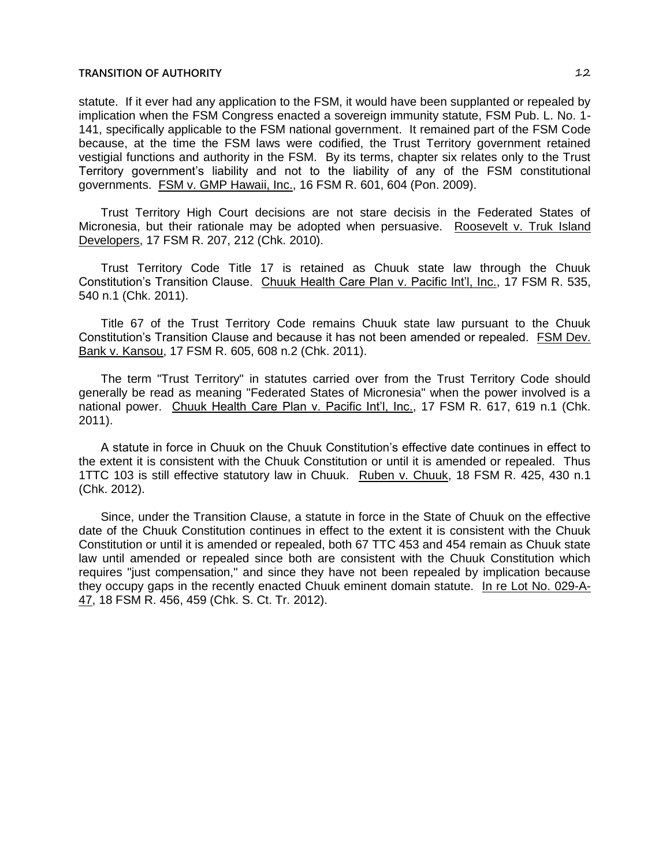statute. If it ever had any application to the FSM, it would have been supplanted or repealed by implication when the FSM Congress enacted a sovereign immunity statute, FSM Pub. L. No. 1- 141, specifically applicable to the FSM national government. It remained part of the FSM Code because, at the time the FSM laws were codified, the Trust Territory government retained vestigial functions and authority in the FSM. By its terms, chapter six relates only to the Trust Territory government's liability and not to the liability of any of the FSM constitutional governments. **FSM v. GMP Hawaii, Inc., 16 FSM R. 601, 604 (Pon. 2009).** 

Trust Territory High Court decisions are not stare decisis in the Federated States of Micronesia, but their rationale may be adopted when persuasive. Roosevelt v. Truk Island Developers, 17 FSM R. 207, 212 (Chk. 2010).

Trust Territory Code Title 17 is retained as Chuuk state law through the Chuuk Constitution's Transition Clause. Chuuk Health Care Plan v. Pacific Int'l, Inc., 17 FSM R. 535, 540 n.1 (Chk. 2011).

Title 67 of the Trust Territory Code remains Chuuk state law pursuant to the Chuuk Constitution's Transition Clause and because it has not been amended or repealed. FSM Dev. Bank v. Kansou, 17 FSM R. 605, 608 n.2 (Chk. 2011).

The term "Trust Territory" in statutes carried over from the Trust Territory Code should generally be read as meaning "Federated States of Micronesia" when the power involved is a national power. Chuuk Health Care Plan v. Pacific Int'l, Inc., 17 FSM R. 617, 619 n.1 (Chk. 2011).

A statute in force in Chuuk on the Chuuk Constitution's effective date continues in effect to the extent it is consistent with the Chuuk Constitution or until it is amended or repealed. Thus 1TTC 103 is still effective statutory law in Chuuk. Ruben v. Chuuk, 18 FSM R. 425, 430 n.1 (Chk. 2012).

Since, under the Transition Clause, a statute in force in the State of Chuuk on the effective date of the Chuuk Constitution continues in effect to the extent it is consistent with the Chuuk Constitution or until it is amended or repealed, both 67 TTC 453 and 454 remain as Chuuk state law until amended or repealed since both are consistent with the Chuuk Constitution which requires "just compensation," and since they have not been repealed by implication because they occupy gaps in the recently enacted Chuuk eminent domain statute. In re Lot No. 029-A-47, 18 FSM R. 456, 459 (Chk. S. Ct. Tr. 2012).